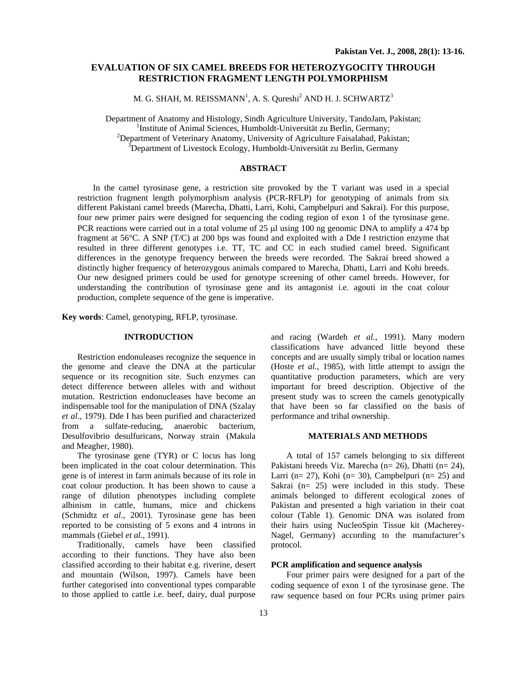# **EVALUATION OF SIX CAMEL BREEDS FOR HETEROZYGOCITY THROUGH RESTRICTION FRAGMENT LENGTH POLYMORPHISM**

M. G. SHAH, M. REISSMANN $^{\rm l}$ , A. S. Qureshi $^{\rm 2}$  AND H. J. SCHWARTZ $^{\rm 3}$ 

Department of Anatomy and Histology, Sindh Agriculture University, TandoJam, Pakistan; 1 <sup>1</sup>Institute of Animal Sciences, Humboldt-Universität zu Berlin, Germany; <sup>2</sup>Department of Veterinary Anatomy, University of Agriculture Faisalabad, Pakistan; <sup>3</sup>Department of Livestock Ecology, Humboldt-Universität zu Berlin, Germany

# **ABSTRACT**

In the camel tyrosinase gene, a restriction site provoked by the T variant was used in a special restriction fragment length polymorphism analysis (PCR-RFLP) for genotyping of animals from six different Pakistani camel breeds (Marecha, Dhatti, Larri, Kohi, Campbelpuri and Sakrai). For this purpose, four new primer pairs were designed for sequencing the coding region of exon 1 of the tyrosinase gene. PCR reactions were carried out in a total volume of 25 µl using 100 ng genomic DNA to amplify a 474 bp fragment at 56°C. A SNP (T/C) at 200 bps was found and exploited with a Dde I restriction enzyme that resulted in three different genotypes i.e. TT, TC and CC in each studied camel breed. Significant differences in the genotype frequency between the breeds were recorded. The Sakrai breed showed a distinctly higher frequency of heterozygous animals compared to Marecha, Dhatti, Larri and Kohi breeds. Our new designed primers could be used for genotype screening of other camel breeds. However, for understanding the contribution of tyrosinase gene and its antagonist i.e. agouti in the coat colour production, complete sequence of the gene is imperative.

**Key words**: Camel, genotyping, RFLP, tyrosinase.

### **INTRODUCTION**

Restriction endonuleases recognize the sequence in the genome and cleave the DNA at the particular sequence or its recognition site. Such enzymes can detect difference between alleles with and without mutation. Restriction endonucleases have become an indispensable tool for the manipulation of DNA (Szalay *et al*., 1979). Dde I has been purified and characterized from a sulfate-reducing, anaerobic bacterium, Desulfovibrio desulfuricans, Norway strain (Makula and Meagher, 1980).

The tyrosinase gene (TYR) or C locus has long been implicated in the coat colour determination. This gene is of interest in farm animals because of its role in coat colour production. It has been shown to cause a range of dilution phenotypes including complete albinism in cattle, humans, mice and chickens (Schmidtz *et al*., 2001). Tyrosinase gene has been reported to be consisting of 5 exons and 4 introns in mammals (Giebel *et al.,* 1991).

Traditionally, camels have been classified according to their functions. They have also been classified according to their habitat e.g. riverine, desert and mountain (Wilson, 1997). Camels have been further categorised into conventional types comparable to those applied to cattle i.e. beef, dairy, dual purpose

and racing (Wardeh *et al.,* 1991). Many modern classifications have advanced little beyond these concepts and are usually simply tribal or location names (Hoste *et al.*, 1985), with little attempt to assign the quantitative production parameters, which are very important for breed description. Objective of the present study was to screen the camels genotypically that have been so far classified on the basis of performance and tribal ownership.

# **MATERIALS AND METHODS**

A total of 157 camels belonging to six different Pakistani breeds Viz. Marecha (n= 26), Dhatti (n= 24), Larri ( $n= 27$ ), Kohi ( $n= 30$ ), Campbelpuri ( $n= 25$ ) and Sakrai (n= 25) were included in this study. These animals belonged to different ecological zones of Pakistan and presented a high variation in their coat colour (Table 1). Genomic DNA was isolated from their hairs using NucleoSpin Tissue kit (Macherey-Nagel, Germany) according to the manufacturer's protocol.

# **PCR amplification and sequence analysis**

Four primer pairs were designed for a part of the coding sequence of exon 1 of the tyrosinase gene. The raw sequence based on four PCRs using primer pairs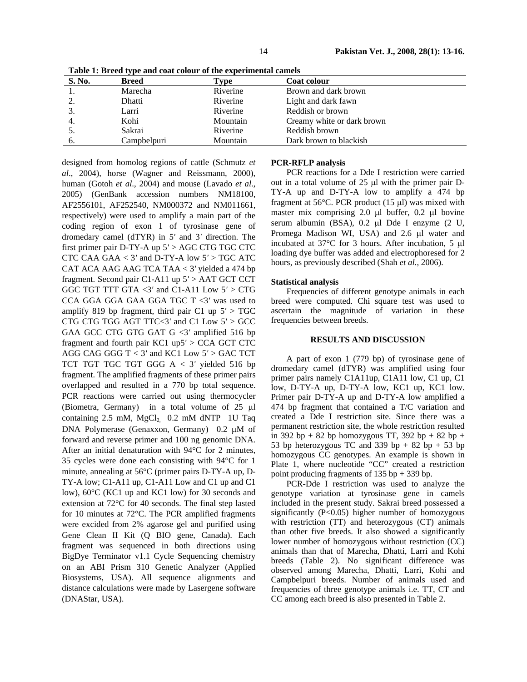| S. No. | <b>Breed</b> | Type     | Coat colour                |  |
|--------|--------------|----------|----------------------------|--|
|        | Marecha      | Riverine | Brown and dark brown       |  |
|        | Dhatti       | Riverine | Light and dark fawn        |  |
|        | Larri        | Riverine | Reddish or brown           |  |
| 4.     | Kohi         | Mountain | Creamy white or dark brown |  |
|        | Sakrai       | Riverine | Reddish brown              |  |
|        | Campbelpuri  | Mountain | Dark brown to blackish     |  |

**Table 1: Breed type and coat colour of the experimental camels** 

designed from homolog regions of cattle (Schmutz *et al*., 2004), horse (Wagner and Reissmann, 2000), human (Gotoh *et al*., 2004) and mouse (Lavado *et al*., 2005) (GenBank accession numbers NM18100, AF2556101, AF252540, NM000372 and NM011661, respectively) were used to amplify a main part of the coding region of exon 1 of tyrosinase gene of dromedary camel (dTYR) in 5*'* and 3*'* direction. The first primer pair D-TY-A up 5*'* > AGC CTG TGC CTC CTC CAA GAA < 3*'* and D-TY-A low 5*'* > TGC ATC CAT ACA AAG AAG TCA TAA < 3*'* yielded a 474 bp fragment. Second pair C1-A11 up 5*'* > AAT GCT CCT GGC TGT TTT GTA <3*'* and C1-A11 Low 5*'* > CTG CCA GGA GGA GAA GGA TGC T <3*'* was used to amplify 819 bp fragment, third pair C1 up 5*'* > TGC CTG CTG TGG AGT TTC<3*'* and C1 Low 5*'* > GCC GAA GCC CTG GTG GAT G <3*'* amplified 516 bp fragment and fourth pair KC1 up5*'* > CCA GCT CTC AGG CAG GGG T < 3*'* and KC1 Low 5*'* > GAC TCT TCT TGT TGC TGT GGG A < 3*'* yielded 516 bp fragment. The amplified fragments of these primer pairs overlapped and resulted in a 770 bp total sequence. PCR reactions were carried out using thermocycler (Biometra, Germany) in a total volume of 25 µl containing  $2.5$  mM, MgCl<sub>2</sub>  $0.2$  mM dNTP 1U Taq DNA Polymerase (Genaxxon, Germany) 0.2 µM of forward and reverse primer and 100 ng genomic DNA. After an initial denaturation with 94°C for 2 minutes, 35 cycles were done each consisting with 94°C for 1 minute, annealing at 56°C (primer pairs D-TY-A up, D-TY-A low; C1-A11 up, C1-A11 Low and C1 up and C1 low), 60°C (KC1 up and KC1 low) for 30 seconds and extension at 72°C for 40 seconds. The final step lasted for 10 minutes at 72°C. The PCR amplified fragments were excided from 2% agarose gel and purified using Gene Clean II Kit (Q BIO gene, Canada). Each fragment was sequenced in both directions using BigDye Terminator v1.1 Cycle Sequencing chemistry on an ABI Prism 310 Genetic Analyzer (Applied Biosystems, USA). All sequence alignments and distance calculations were made by Lasergene software (DNAStar, USA).

### **PCR-RFLP analysis**

PCR reactions for a Dde I restriction were carried out in a total volume of 25 µl with the primer pair D-TY-A up and D-TY-A low to amplify a 474 bp fragment at 56°C. PCR product (15 µl) was mixed with master mix comprising 2.0 µl buffer, 0.2 µl bovine serum albumin (BSA), 0.2 µl Dde I enzyme (2 U, Promega Madison WI, USA) and 2.6 µl water and incubated at 37°C for 3 hours. After incubation, 5 µl loading dye buffer was added and electrophoresed for 2 hours, as previously described (Shah *et al.*, 2006).

#### **Statistical analysis**

Frequencies of different genotype animals in each breed were computed. Chi square test was used to ascertain the magnitude of variation in these frequencies between breeds.

#### **RESULTS AND DISCUSSION**

A part of exon 1 (779 bp) of tyrosinase gene of dromedary camel (dTYR) was amplified using four primer pairs namely C1A11up, C1A11 low, C1 up, C1 low, D-TY-A up, D-TY-A low, KC1 up, KC1 low. Primer pair D-TY-A up and D-TY-A low amplified a 474 bp fragment that contained a T/C variation and created a Dde I restriction site. Since there was a permanent restriction site, the whole restriction resulted in 392 bp + 82 bp homozygous TT, 392 bp + 82 bp + 53 bp heterozygous TC and 339 bp  $+ 82$  bp  $+ 53$  bp homozygous CC genotypes. An example is shown in Plate 1, where nucleotide "CC" created a restriction point producing fragments of 135 bp + 339 bp.

PCR-Dde I restriction was used to analyze the genotype variation at tyrosinase gene in camels included in the present study. Sakrai breed possessed a significantly  $(P<0.05)$  higher number of homozygous with restriction (TT) and heterozygous (CT) animals than other five breeds. It also showed a significantly lower number of homozygous without restriction (CC) animals than that of Marecha, Dhatti, Larri and Kohi breeds (Table 2). No significant difference was observed among Marecha, Dhatti, Larri, Kohi and Campbelpuri breeds. Number of animals used and frequencies of three genotype animals i.e. TT, CT and CC among each breed is also presented in Table 2.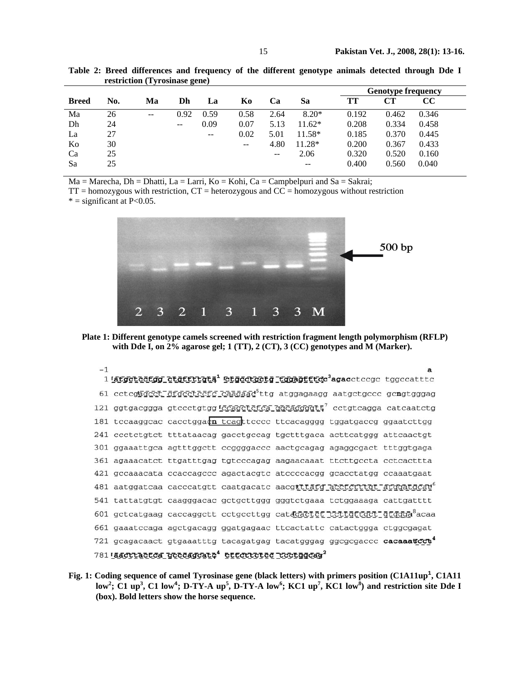|              |     |       |      |               |                   |      |          | <b>Genotype frequency</b> |       |       |  |
|--------------|-----|-------|------|---------------|-------------------|------|----------|---------------------------|-------|-------|--|
| <b>Breed</b> | No. | Ma    | Dh   | La            | Ko                | Ca   | Sa       | TT                        | CТ    | CC    |  |
| Ma           | 26  | $- -$ | 0.92 | 0.59          | 0.58              | 2.64 | $8.20*$  | 0.192                     | 0.462 | 0.346 |  |
| Dh           | 24  |       | $-$  | 0.09          | 0.07              | 5.13 | $11.62*$ | 0.208                     | 0.334 | 0.458 |  |
| La           | 27  |       |      | $\sim$ $\sim$ | 0.02              | 5.01 | $11.58*$ | 0.185                     | 0.370 | 0.445 |  |
| Ko           | 30  |       |      |               | $\qquad \qquad -$ | 4.80 | $11.28*$ | 0.200                     | 0.367 | 0.433 |  |
| Ca           | 25  |       |      |               |                   | $-$  | 2.06     | 0.320                     | 0.520 | 0.160 |  |
| Sa           | 25  |       |      |               |                   |      | $- -$    | 0.400                     | 0.560 | 0.040 |  |

**Table 2: Breed differences and frequency of the different genotype animals detected through Dde I restriction (Tyrosinase gene)** 

 $Ma = Marecha$ ,  $Dh = Dh$ atti,  $La = Larri$ ,  $Ko = Kohi$ ,  $Ca = Campbell$ uri and  $Sa = Sakrai$ ;

 $TT =$  homozygous with restriction,  $CT =$  heterozygous and  $CC =$  homozygous without restriction  $*$  = significant at P<0.05.



**Plate 1: Different genotype camels screened with restriction fragment length polymorphism (RFLP) with Dde I, on 2% agarose gel; 1 (TT), 2 (CT), 3 (CC) genotypes and M (Marker).** 

 $-1$ a 1 latgeteergg etgerrigta<sup>1</sup> etgeergetg tggagtete<sup>3</sup>agaceteege tggecattte 61 cctcghgcct gractcctc caagaadstrg atggagaagg aatgctgccc gcngtgggag 121 ggtgacggga gtccctgtgg *coagctctca ggcaggggtt*<sup>7</sup> cctgtcagga catcaatctg 181 tecaaggcac cacetggaon teagttecce ttcacagggg tggatgaceg ggaatettgg 241 ccctctgtct tttataacag gacctgccag tgctttgaca acttcatggg attcaactgt 301 ggaaattgca agtttggctt ccggggaccc aactgcagag agaggcgact tttggtgaga 361 agaaacatct ttgatttgag tgtcccagag aagaacaaat ttcttgccta cctcacttta 421 gccaaacata ccaccagccc agactacgtc atccccacgg gcacctatgg ccaaatgaat 481 aatggatcaa cacccatgtt caatgacatc aacgtttatg acctcrttgt arggatgcay<sup>6</sup> 541 tattatgtgt caagggacac gctgcttggg gggtctgaaa tctggaaaga cattgatttt 601 gctcatgaag caccaggett cetgeettgg catagactet tettgttget gtggga<sup>8</sup>acaa 661 gaaatccaga agctgacagg ggatgagaac ttcactattc catactggga ctggcgagat 721 gcagacaact gtgaaatttg tacagatgag tacatgggag ggcgcgaccc cacaaatcct 781 Lascriaciós geodageato\* etterretes reciggeag2

Fig. 1: Coding sequence of camel Tyrosinase gene (black letters) with primers position (C1A11up<sup>1</sup>, C1A11 low<sup>2</sup>; C1 up<sup>3</sup>, C1 low<sup>4</sup>; D-TY-A up<sup>5</sup>, D-TY-A low<sup>6</sup>; KC1 up<sup>7</sup>, KC1 low<sup>8</sup>) and restriction site Dde I **(box). Bold letters show the horse sequence.**